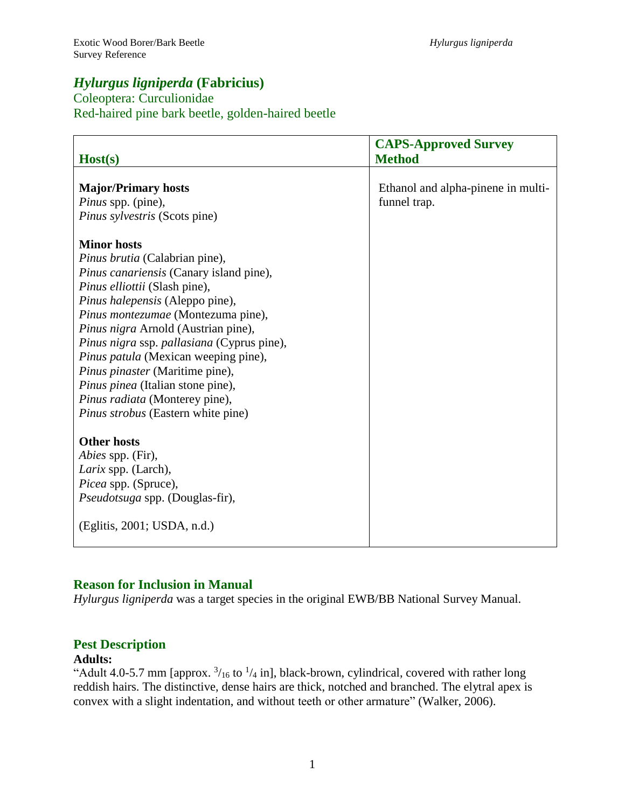# *Hylurgus ligniperda* **(Fabricius)**

# Coleoptera: Curculionidae Red-haired pine bark beetle, golden-haired beetle

| Host(s)                                    | <b>CAPS-Approved Survey</b><br><b>Method</b> |
|--------------------------------------------|----------------------------------------------|
|                                            |                                              |
| <b>Major/Primary hosts</b>                 | Ethanol and alpha-pinene in multi-           |
| <i>Pinus</i> spp. (pine),                  | funnel trap.                                 |
| Pinus sylvestris (Scots pine)              |                                              |
|                                            |                                              |
| <b>Minor hosts</b>                         |                                              |
| <i>Pinus brutia</i> (Calabrian pine),      |                                              |
| Pinus canariensis (Canary island pine),    |                                              |
| Pinus elliottii (Slash pine),              |                                              |
| Pinus halepensis (Aleppo pine),            |                                              |
| Pinus montezumae (Montezuma pine),         |                                              |
| Pinus nigra Arnold (Austrian pine),        |                                              |
| Pinus nigra ssp. pallasiana (Cyprus pine), |                                              |
| Pinus patula (Mexican weeping pine),       |                                              |
| <i>Pinus pinaster</i> (Maritime pine),     |                                              |
| Pinus pinea (Italian stone pine),          |                                              |
| Pinus radiata (Monterey pine),             |                                              |
| Pinus strobus (Eastern white pine)         |                                              |
|                                            |                                              |
| <b>Other hosts</b>                         |                                              |
| <i>Abies</i> spp. (Fir),                   |                                              |
| Larix spp. (Larch),                        |                                              |
| Picea spp. (Spruce),                       |                                              |
| <i>Pseudotsuga</i> spp. (Douglas-fir),     |                                              |
|                                            |                                              |
| (Eglitis, 2001; USDA, n.d.)                |                                              |
|                                            |                                              |

# **Reason for Inclusion in Manual**

*Hylurgus ligniperda* was a target species in the original EWB/BB National Survey Manual.

# **Pest Description**

# **Adults:**

"Adult 4.0-5.7 mm [approx.  $\frac{3}{16}$  to  $\frac{1}{4}$  in], black-brown, cylindrical, covered with rather long reddish hairs. The distinctive, dense hairs are thick, notched and branched. The elytral apex is convex with a slight indentation, and without teeth or other armature" (Walker, 2006).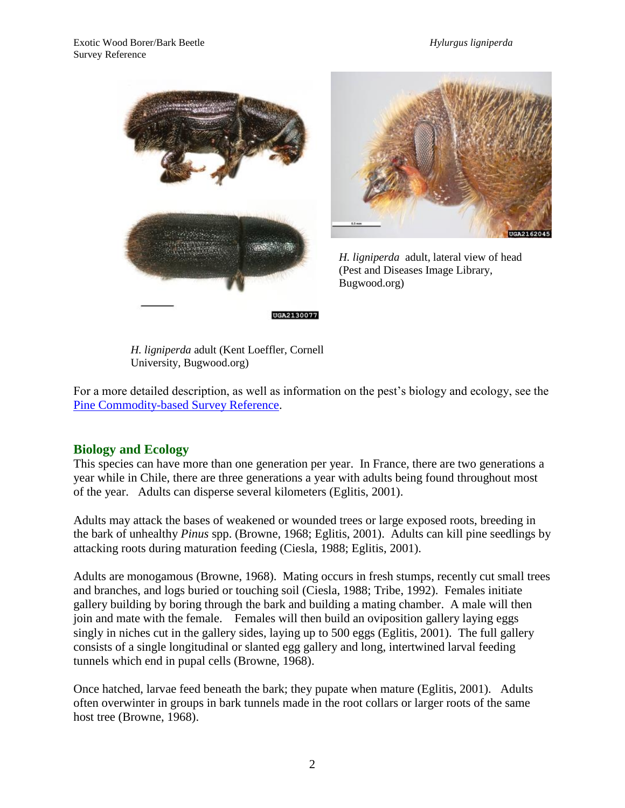



*H. ligniperda* adult, lateral view of head (Pest and Diseases Image Library, Bugwood.org)

*H. ligniperda* adult (Kent Loeffler, Cornell University, Bugwood.org)

For a more detailed description, as well as information on the pest's biology and ecology, see the [Pine Commodity-based Survey Reference.](http://caps.ceris.purdue.edu/survey_manuals)

# **Biology and Ecology**

This species can have more than one generation per year. In France, there are two generations a year while in Chile, there are three generations a year with adults being found throughout most of the year. Adults can disperse several kilometers (Eglitis, 2001).

Adults may attack the bases of weakened or wounded trees or large exposed roots, breeding in the bark of unhealthy *Pinus* spp. (Browne, 1968; Eglitis, 2001). Adults can kill pine seedlings by attacking roots during maturation feeding (Ciesla, 1988; Eglitis, 2001).

Adults are monogamous (Browne, 1968). Mating occurs in fresh stumps, recently cut small trees and branches, and logs buried or touching soil (Ciesla, 1988; Tribe, 1992). Females initiate gallery building by boring through the bark and building a mating chamber. A male will then join and mate with the female. Females will then build an oviposition gallery laying eggs singly in niches cut in the gallery sides, laying up to 500 eggs (Eglitis, 2001). The full gallery consists of a single longitudinal or slanted egg gallery and long, intertwined larval feeding tunnels which end in pupal cells (Browne, 1968).

Once hatched, larvae feed beneath the bark; they pupate when mature (Eglitis, 2001). Adults often overwinter in groups in bark tunnels made in the root collars or larger roots of the same host tree (Browne, 1968).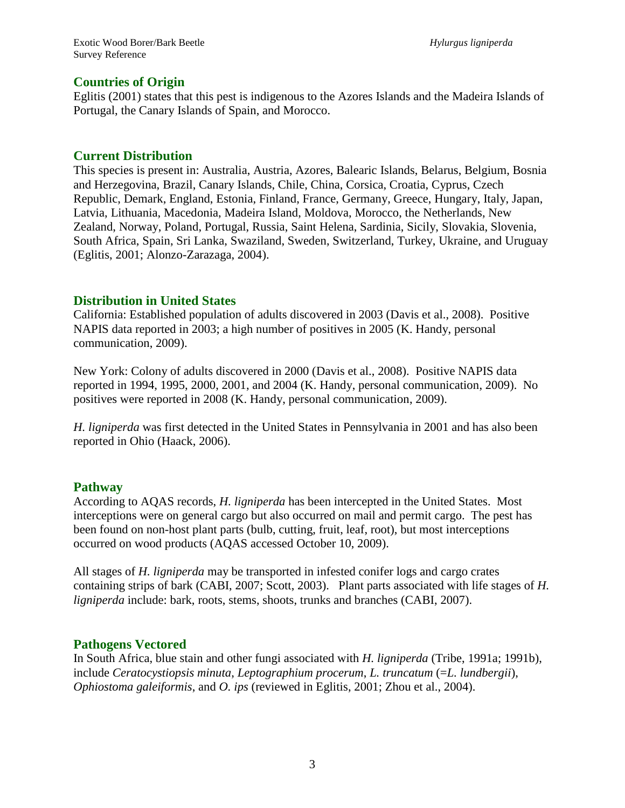### **Countries of Origin**

Eglitis (2001) states that this pest is indigenous to the Azores Islands and the Madeira Islands of Portugal, the Canary Islands of Spain, and Morocco.

### **Current Distribution**

This species is present in: Australia, Austria, Azores, Balearic Islands, Belarus, Belgium, Bosnia and Herzegovina, Brazil, Canary Islands, Chile, China, Corsica, Croatia, Cyprus, Czech Republic, Demark, England, Estonia, Finland, France, Germany, Greece, Hungary, Italy, Japan, Latvia, Lithuania, Macedonia, Madeira Island, Moldova, Morocco, the Netherlands, New Zealand, Norway, Poland, Portugal, Russia, Saint Helena, Sardinia, Sicily, Slovakia, Slovenia, South Africa, Spain, Sri Lanka, Swaziland, Sweden, Switzerland, Turkey, Ukraine, and Uruguay (Eglitis, 2001; Alonzo-Zarazaga, 2004).

### **Distribution in United States**

California: Established population of adults discovered in 2003 (Davis et al., 2008). Positive NAPIS data reported in 2003; a high number of positives in 2005 (K. Handy, personal communication, 2009).

New York: Colony of adults discovered in 2000 (Davis et al., 2008). Positive NAPIS data reported in 1994, 1995, 2000, 2001, and 2004 (K. Handy, personal communication, 2009). No positives were reported in 2008 (K. Handy, personal communication, 2009).

*H. ligniperda* was first detected in the United States in Pennsylvania in 2001 and has also been reported in Ohio (Haack, 2006).

# **Pathway**

According to AQAS records, *H. ligniperda* has been intercepted in the United States. Most interceptions were on general cargo but also occurred on mail and permit cargo. The pest has been found on non-host plant parts (bulb, cutting, fruit, leaf, root), but most interceptions occurred on wood products (AQAS accessed October 10, 2009).

All stages of *H. ligniperda* may be transported in infested conifer logs and cargo crates containing strips of bark (CABI, 2007; Scott, 2003). Plant parts associated with life stages of *H. ligniperda* include: bark, roots, stems, shoots, trunks and branches (CABI, 2007).

# **Pathogens Vectored**

In South Africa, blue stain and other fungi associated with *H. ligniperda* (Tribe, 1991a; 1991b), include *Ceratocystiopsis minuta*, *Leptographium procerum*, *L. truncatum* (=*L. lundbergii*), *Ophiostoma galeiformis*, and *O. ips* (reviewed in Eglitis, 2001; Zhou et al., 2004).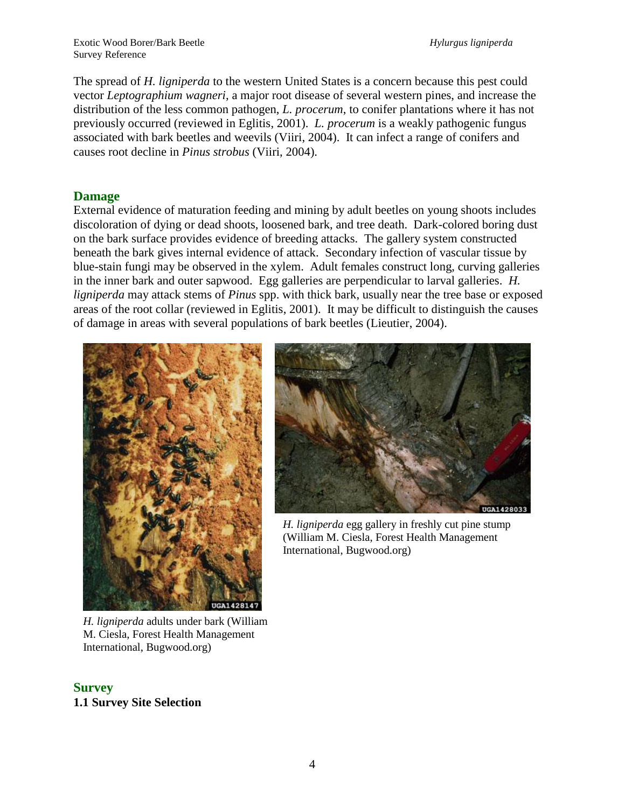Exotic Wood Borer/Bark Beetle *Hylurgus ligniperda* Survey Reference

The spread of *H. ligniperda* to the western United States is a concern because this pest could vector *Leptographium wagneri*, a major root disease of several western pines, and increase the distribution of the less common pathogen, *L. procerum*, to conifer plantations where it has not previously occurred (reviewed in Eglitis, 2001). *L. procerum* is a weakly pathogenic fungus associated with bark beetles and weevils (Viiri, 2004). It can infect a range of conifers and causes root decline in *Pinus strobus* (Viiri, 2004).

#### **Damage**

External evidence of maturation feeding and mining by adult beetles on young shoots includes discoloration of dying or dead shoots, loosened bark, and tree death. Dark-colored boring dust on the bark surface provides evidence of breeding attacks. The gallery system constructed beneath the bark gives internal evidence of attack. Secondary infection of vascular tissue by blue-stain fungi may be observed in the xylem. Adult females construct long, curving galleries in the inner bark and outer sapwood. Egg galleries are perpendicular to larval galleries. *H. ligniperda* may attack stems of *Pinus* spp. with thick bark, usually near the tree base or exposed areas of the root collar (reviewed in Eglitis, 2001). It may be difficult to distinguish the causes of damage in areas with several populations of bark beetles (Lieutier, 2004).



*H. ligniperda* egg gallery in freshly cut pine stump (William M. Ciesla, Forest Health Management International, Bugwood.org)

*H. ligniperda* adults under bark (William M. Ciesla, Forest Health Management International, Bugwood.org)

#### **Survey 1.1 Survey Site Selection**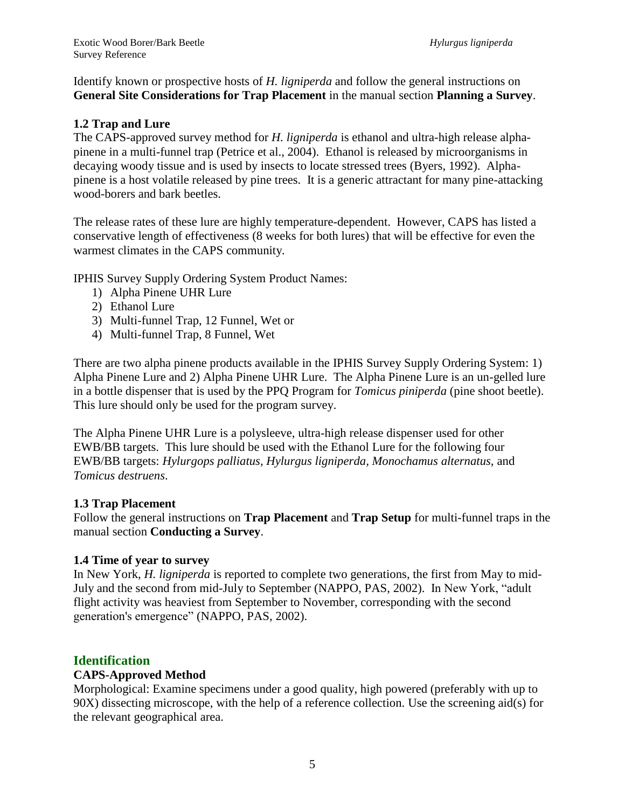Identify known or prospective hosts of *H. ligniperda* and follow the general instructions on **General Site Considerations for Trap Placement** in the manual section **Planning a Survey**.

# **1.2 Trap and Lure**

The CAPS-approved survey method for *H. ligniperda* is ethanol and ultra-high release alphapinene in a multi-funnel trap (Petrice et al., 2004). Ethanol is released by microorganisms in decaying woody tissue and is used by insects to locate stressed trees (Byers, 1992). Alphapinene is a host volatile released by pine trees. It is a generic attractant for many pine-attacking wood-borers and bark beetles.

The release rates of these lure are highly temperature-dependent. However, CAPS has listed a conservative length of effectiveness (8 weeks for both lures) that will be effective for even the warmest climates in the CAPS community.

IPHIS Survey Supply Ordering System Product Names:

- 1) Alpha Pinene UHR Lure
- 2) Ethanol Lure
- 3) Multi-funnel Trap, 12 Funnel, Wet or
- 4) Multi-funnel Trap, 8 Funnel, Wet

There are two alpha pinene products available in the IPHIS Survey Supply Ordering System: 1) Alpha Pinene Lure and 2) Alpha Pinene UHR Lure. The Alpha Pinene Lure is an un-gelled lure in a bottle dispenser that is used by the PPQ Program for *Tomicus piniperda* (pine shoot beetle). This lure should only be used for the program survey.

The Alpha Pinene UHR Lure is a polysleeve, ultra-high release dispenser used for other EWB/BB targets. This lure should be used with the Ethanol Lure for the following four EWB/BB targets: *Hylurgops palliatus, Hylurgus ligniperda, Monochamus alternatus,* and *Tomicus destruens*.

#### **1.3 Trap Placement**

Follow the general instructions on **Trap Placement** and **Trap Setup** for multi-funnel traps in the manual section **Conducting a Survey**.

#### **1.4 Time of year to survey**

In New York, *H. ligniperda* is reported to complete two generations, the first from May to mid-July and the second from mid-July to September (NAPPO, PAS, 2002). In New York, "adult flight activity was heaviest from September to November, corresponding with the second generation's emergence" (NAPPO, PAS, 2002).

# **Identification**

#### **CAPS-Approved Method**

Morphological: Examine specimens under a good quality, high powered (preferably with up to 90X) dissecting microscope, with the help of a reference collection. Use the screening aid(s) for the relevant geographical area.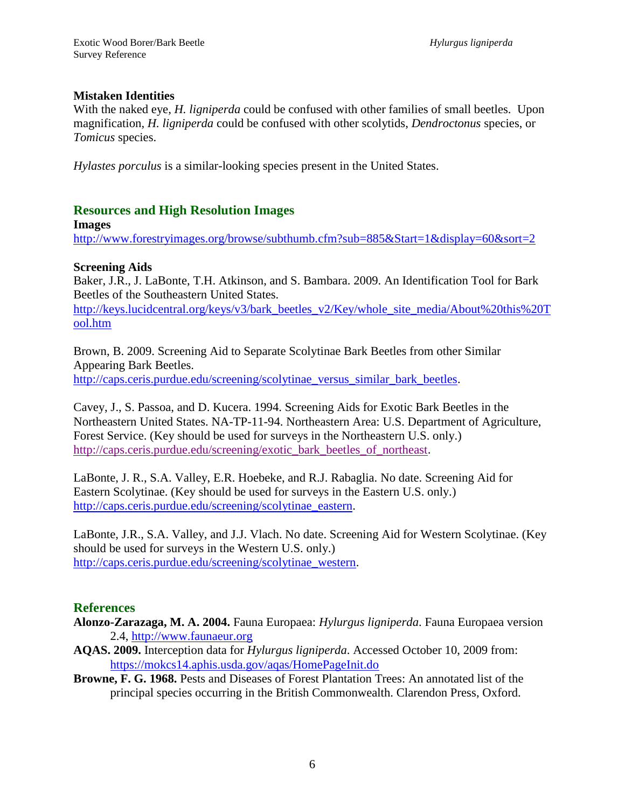### **Mistaken Identities**

With the naked eye, *H. ligniperda* could be confused with other families of small beetles. Upon magnification, *H. ligniperda* could be confused with other scolytids, *Dendroctonus* species, or *Tomicus* species.

*Hylastes porculus* is a similar-looking species present in the United States.

# **Resources and High Resolution Images**

**Images**

<http://www.forestryimages.org/browse/subthumb.cfm?sub=885&Start=1&display=60&sort=2>

# **Screening Aids**

Baker, J.R., J. LaBonte, T.H. Atkinson, and S. Bambara. 2009. An Identification Tool for Bark Beetles of the Southeastern United States.

[http://keys.lucidcentral.org/keys/v3/bark\\_beetles\\_v2/Key/whole\\_site\\_media/About%20this%20T](http://keys.lucidcentral.org/keys/v3/bark_beetles_v2/Key/whole_site_media/About%20this%20Tool.htm) [ool.htm](http://keys.lucidcentral.org/keys/v3/bark_beetles_v2/Key/whole_site_media/About%20this%20Tool.htm)

Brown, B. 2009. Screening Aid to Separate Scolytinae Bark Beetles from other Similar Appearing Bark Beetles. [http://caps.ceris.purdue.edu/screening/scolytinae\\_versus\\_similar\\_bark\\_beetles.](http://caps.ceris.purdue.edu/screening/scolytinae_versus_similar_bark_beetles)

Cavey, J., S. Passoa, and D. Kucera. 1994. Screening Aids for Exotic Bark Beetles in the Northeastern United States. NA-TP-11-94. Northeastern Area: U.S. Department of Agriculture, Forest Service. (Key should be used for surveys in the Northeastern U.S. only.) [http://caps.ceris.purdue.edu/screening/exotic\\_bark\\_beetles\\_of\\_northeast](http://caps.ceris.purdue.edu/screening/exotic_bark_beetles_of_northeast).

LaBonte, J. R., S.A. Valley, E.R. Hoebeke, and R.J. Rabaglia. No date. Screening Aid for Eastern Scolytinae. (Key should be used for surveys in the Eastern U.S. only.) [http://caps.ceris.purdue.edu/screening/scolytinae\\_eastern.](http://caps.ceris.purdue.edu/screening/scolytinae_eastern)

LaBonte, J.R., S.A. Valley, and J.J. Vlach. No date. Screening Aid for Western Scolytinae. (Key should be used for surveys in the Western U.S. only.) [http://caps.ceris.purdue.edu/screening/scolytinae\\_western.](http://caps.ceris.purdue.edu/screening/scolytinae_western)

# **References**

- **Alonzo-Zarazaga, M. A. 2004.** Fauna Europaea: *Hylurgus ligniperda*. Fauna Europaea version 2.4, [http://www.faunaeur.org](http://www.faunaeur.org/)
- **AQAS. 2009.** Interception data for *Hylurgus ligniperda*. Accessed October 10, 2009 from: <https://mokcs14.aphis.usda.gov/aqas/HomePageInit.do>
- **Browne, F. G. 1968.** Pests and Diseases of Forest Plantation Trees: An annotated list of the principal species occurring in the British Commonwealth. Clarendon Press, Oxford.